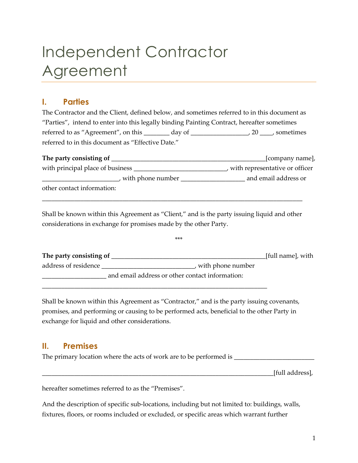# Independent Contractor Agreement

## **I. Parties**

The Contractor and the Client, defined below, and sometimes referred to in this document as "Parties", intend to enter into this legally binding Painting Contract, hereafter sometimes referred to as "Agreement", on this \_\_\_\_\_\_\_ day of \_\_\_\_\_\_\_\_\_\_\_\_\_\_\_\_\_\_\_\_, 20 \_\_\_\_, sometimes referred to in this document as "Effective Date."

| The party consisting of          | [company name],                  |  |
|----------------------------------|----------------------------------|--|
| with principal place of business | , with representative or officer |  |
| with phone number                | and email address or             |  |
| other contact information:       |                                  |  |

Shall be known within this Agreement as "Client," and is the party issuing liquid and other considerations in exchange for promises made by the other Party.

\_\_\_\_\_\_\_\_\_\_\_\_\_\_\_\_\_\_\_\_\_\_\_\_\_\_\_\_\_\_\_\_\_\_\_\_\_\_\_\_\_\_\_\_\_\_\_\_\_\_\_\_\_\_\_\_\_\_\_\_\_\_\_\_\_\_\_\_\_\_\_\_\_\_\_\_\_\_\_\_\_

| The party consisting of |                                                 | [full name], with |
|-------------------------|-------------------------------------------------|-------------------|
| address of residence    | with phone number                               |                   |
|                         | and email address or other contact information: |                   |

\*\*\*

Shall be known within this Agreement as "Contractor," and is the party issuing covenants, promises, and performing or causing to be performed acts, beneficial to the other Party in exchange for liquid and other considerations.

\_\_\_\_\_\_\_\_\_\_\_\_\_\_\_\_\_\_\_\_\_\_\_\_\_\_\_\_\_\_\_\_\_\_\_\_\_\_\_\_\_\_\_\_\_\_\_\_\_\_\_\_\_\_\_\_\_\_\_\_\_\_\_\_\_\_\_\_\_\_

## **II. Premises**

The primary location where the acts of work are to be performed is \_\_\_\_\_\_\_\_\_\_\_\_\_\_\_\_\_\_\_\_\_\_\_\_\_

\_\_\_\_\_\_\_\_\_\_\_\_\_\_\_\_\_\_\_\_\_\_\_\_\_\_\_\_\_\_\_\_\_\_\_\_\_\_\_\_\_\_\_\_\_\_\_\_\_\_\_\_\_\_\_\_\_\_\_\_\_\_\_\_\_\_\_\_\_\_\_\_[full address],

hereafter sometimes referred to as the "Premises".

And the description of specific sub-locations, including but not limited to: buildings, walls, fixtures, floors, or rooms included or excluded, or specific areas which warrant further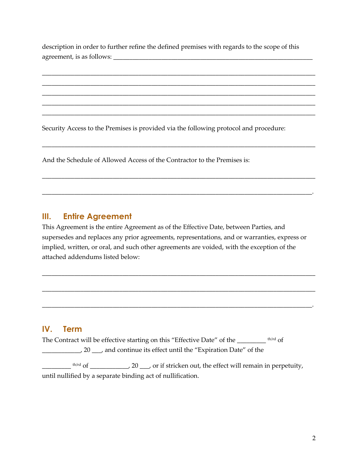description in order to further refine the defined premises with regards to the scope of this agreement, is as follows:

\_\_\_\_\_\_\_\_\_\_\_\_\_\_\_\_\_\_\_\_\_\_\_\_\_\_\_\_\_\_\_\_\_\_\_\_\_\_\_\_\_\_\_\_\_\_\_\_\_\_\_\_\_\_\_\_\_\_\_\_\_\_\_\_\_\_\_\_\_\_\_\_\_\_\_\_\_\_\_\_\_\_\_\_\_ \_\_\_\_\_\_\_\_\_\_\_\_\_\_\_\_\_\_\_\_\_\_\_\_\_\_\_\_\_\_\_\_\_\_\_\_\_\_\_\_\_\_\_\_\_\_\_\_\_\_\_\_\_\_\_\_\_\_\_\_\_\_\_\_\_\_\_\_\_\_\_\_\_\_\_\_\_\_\_\_\_\_\_\_\_ \_\_\_\_\_\_\_\_\_\_\_\_\_\_\_\_\_\_\_\_\_\_\_\_\_\_\_\_\_\_\_\_\_\_\_\_\_\_\_\_\_\_\_\_\_\_\_\_\_\_\_\_\_\_\_\_\_\_\_\_\_\_\_\_\_\_\_\_\_\_\_\_\_\_\_\_\_\_\_\_\_\_\_\_\_ \_\_\_\_\_\_\_\_\_\_\_\_\_\_\_\_\_\_\_\_\_\_\_\_\_\_\_\_\_\_\_\_\_\_\_\_\_\_\_\_\_\_\_\_\_\_\_\_\_\_\_\_\_\_\_\_\_\_\_\_\_\_\_\_\_\_\_\_\_\_\_\_\_\_\_\_\_\_\_\_\_\_\_\_\_ \_\_\_\_\_\_\_\_\_\_\_\_\_\_\_\_\_\_\_\_\_\_\_\_\_\_\_\_\_\_\_\_\_\_\_\_\_\_\_\_\_\_\_\_\_\_\_\_\_\_\_\_\_\_\_\_\_\_\_\_\_\_\_\_\_\_\_\_\_\_\_\_\_\_\_\_\_\_\_\_\_\_\_\_\_

\_\_\_\_\_\_\_\_\_\_\_\_\_\_\_\_\_\_\_\_\_\_\_\_\_\_\_\_\_\_\_\_\_\_\_\_\_\_\_\_\_\_\_\_\_\_\_\_\_\_\_\_\_\_\_\_\_\_\_\_\_\_\_\_\_\_\_\_\_\_\_\_\_\_\_\_\_\_\_\_\_\_\_\_\_

\_\_\_\_\_\_\_\_\_\_\_\_\_\_\_\_\_\_\_\_\_\_\_\_\_\_\_\_\_\_\_\_\_\_\_\_\_\_\_\_\_\_\_\_\_\_\_\_\_\_\_\_\_\_\_\_\_\_\_\_\_\_\_\_\_\_\_\_\_\_\_\_\_\_\_\_\_\_\_\_\_\_\_\_\_

\_\_\_\_\_\_\_\_\_\_\_\_\_\_\_\_\_\_\_\_\_\_\_\_\_\_\_\_\_\_\_\_\_\_\_\_\_\_\_\_\_\_\_\_\_\_\_\_\_\_\_\_\_\_\_\_\_\_\_\_\_\_\_\_\_\_\_\_\_\_\_\_\_\_\_\_\_\_\_\_\_\_\_\_.

Security Access to the Premises is provided via the following protocol and procedure:

And the Schedule of Allowed Access of the Contractor to the Premises is:

#### **III. Entire Agreement**

This Agreement is the entire Agreement as of the Effective Date, between Parties, and supersedes and replaces any prior agreements, representations, and or warranties, express or implied, written, or oral, and such other agreements are voided, with the exception of the attached addendums listed below:

\_\_\_\_\_\_\_\_\_\_\_\_\_\_\_\_\_\_\_\_\_\_\_\_\_\_\_\_\_\_\_\_\_\_\_\_\_\_\_\_\_\_\_\_\_\_\_\_\_\_\_\_\_\_\_\_\_\_\_\_\_\_\_\_\_\_\_\_\_\_\_\_\_\_\_\_\_\_\_\_\_\_\_\_\_

\_\_\_\_\_\_\_\_\_\_\_\_\_\_\_\_\_\_\_\_\_\_\_\_\_\_\_\_\_\_\_\_\_\_\_\_\_\_\_\_\_\_\_\_\_\_\_\_\_\_\_\_\_\_\_\_\_\_\_\_\_\_\_\_\_\_\_\_\_\_\_\_\_\_\_\_\_\_\_\_\_\_\_\_\_

\_\_\_\_\_\_\_\_\_\_\_\_\_\_\_\_\_\_\_\_\_\_\_\_\_\_\_\_\_\_\_\_\_\_\_\_\_\_\_\_\_\_\_\_\_\_\_\_\_\_\_\_\_\_\_\_\_\_\_\_\_\_\_\_\_\_\_\_\_\_\_\_\_\_\_\_\_\_\_\_\_\_\_\_.

#### **IV. Term**

The Contract will be effective starting on this "Effective Date" of the \_\_\_\_\_\_\_\_\_ th/rd of \_\_\_\_\_\_\_\_\_\_\_\_, 20 \_\_\_, and continue its effect until the "Expiration Date" of the

 $\frac{1}{2}$ <sup>th/rd</sup> of \_\_\_\_\_\_\_\_\_\_\_, 20 \_\_, or if stricken out, the effect will remain in perpetuity, until nullified by a separate binding act of nullification.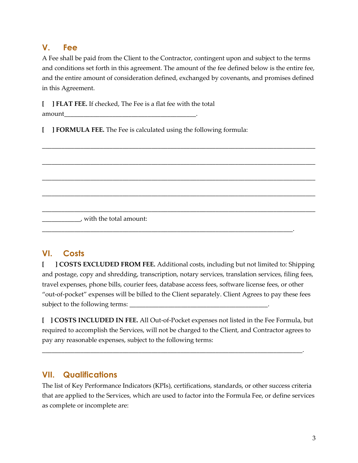## **V. Fee**

A Fee shall be paid from the Client to the Contractor, contingent upon and subject to the terms and conditions set forth in this agreement. The amount of the fee defined below is the entire fee, and the entire amount of consideration defined, exchanged by covenants, and promises defined in this Agreement.

\_\_\_\_\_\_\_\_\_\_\_\_\_\_\_\_\_\_\_\_\_\_\_\_\_\_\_\_\_\_\_\_\_\_\_\_\_\_\_\_\_\_\_\_\_\_\_\_\_\_\_\_\_\_\_\_\_\_\_\_\_\_\_\_\_\_\_\_\_\_\_\_\_\_\_\_\_\_\_\_\_\_\_\_\_

\_\_\_\_\_\_\_\_\_\_\_\_\_\_\_\_\_\_\_\_\_\_\_\_\_\_\_\_\_\_\_\_\_\_\_\_\_\_\_\_\_\_\_\_\_\_\_\_\_\_\_\_\_\_\_\_\_\_\_\_\_\_\_\_\_\_\_\_\_\_\_\_\_\_\_\_\_\_\_\_\_\_\_\_\_

\_\_\_\_\_\_\_\_\_\_\_\_\_\_\_\_\_\_\_\_\_\_\_\_\_\_\_\_\_\_\_\_\_\_\_\_\_\_\_\_\_\_\_\_\_\_\_\_\_\_\_\_\_\_\_\_\_\_\_\_\_\_\_\_\_\_\_\_\_\_\_\_\_\_\_\_\_\_\_\_\_\_\_\_\_

\_\_\_\_\_\_\_\_\_\_\_\_\_\_\_\_\_\_\_\_\_\_\_\_\_\_\_\_\_\_\_\_\_\_\_\_\_\_\_\_\_\_\_\_\_\_\_\_\_\_\_\_\_\_\_\_\_\_\_\_\_\_\_\_\_\_\_\_\_\_\_\_\_\_\_\_\_\_\_\_\_\_\_\_\_

\_\_\_\_\_\_\_\_\_\_\_\_\_\_\_\_\_\_\_\_\_\_\_\_\_\_\_\_\_\_\_\_\_\_\_\_\_\_\_\_\_\_\_\_\_\_\_\_\_\_\_\_\_\_\_\_\_\_\_\_\_\_\_\_\_\_\_\_\_\_\_\_\_\_\_\_\_\_\_\_\_\_\_\_\_

\_\_\_\_\_\_\_\_\_\_\_\_\_\_\_\_\_\_\_\_\_\_\_\_\_\_\_\_\_\_\_\_\_\_\_\_\_\_\_\_\_\_\_\_\_\_\_\_\_\_\_\_\_\_\_\_\_\_\_\_\_\_\_\_\_\_\_\_\_\_\_\_\_\_\_\_\_\_.

**[ ] FLAT FEE.** If checked, The Fee is a flat fee with the total amount

**[ ] FORMULA FEE.** The Fee is calculated using the following formula:

\_\_\_\_\_\_\_\_\_\_\_\_, with the total amount:

# **VI. Costs**

**[ ] COSTS EXCLUDED FROM FEE.** Additional costs, including but not limited to: Shipping and postage, copy and shredding, transcription, notary services, translation services, filing fees, travel expenses, phone bills, courier fees, database access fees, software license fees, or other "out-of-pocket" expenses will be billed to the Client separately. Client Agrees to pay these fees subject to the following terms:

**[ ] COSTS INCLUDED IN FEE.** All Out-of-Pocket expenses not listed in the Fee Formula, but required to accomplish the Services, will not be charged to the Client, and Contractor agrees to pay any reasonable expenses, subject to the following terms:

\_\_\_\_\_\_\_\_\_\_\_\_\_\_\_\_\_\_\_\_\_\_\_\_\_\_\_\_\_\_\_\_\_\_\_\_\_\_\_\_\_\_\_\_\_\_\_\_\_\_\_\_\_\_\_\_\_\_\_\_\_\_\_\_\_\_\_\_\_\_\_\_\_\_\_\_\_\_\_\_\_.

## **VII. Qualifications**

The list of Key Performance Indicators (KPIs), certifications, standards, or other success criteria that are applied to the Services, which are used to factor into the Formula Fee, or define services as complete or incomplete are: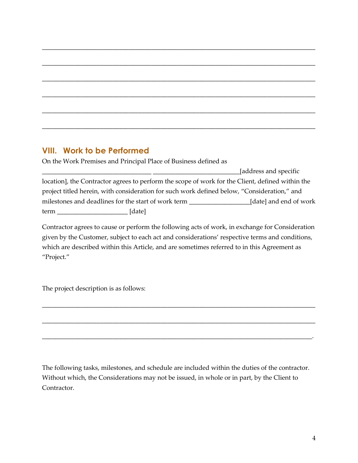# **VIII. Work to be Performed**

On the Work Premises and Principal Place of Business defined as

|      |                                                                                                  | [address and specific] |
|------|--------------------------------------------------------------------------------------------------|------------------------|
|      | location], the Contractor agrees to perform the scope of work for the Client, defined within the |                        |
|      | project titled herein, with consideration for such work defined below, "Consideration," and      |                        |
|      | milestones and deadlines for the start of work term                                              | [date] and end of work |
| term | [date]                                                                                           |                        |

\_\_\_\_\_\_\_\_\_\_\_\_\_\_\_\_\_\_\_\_\_\_\_\_\_\_\_\_\_\_\_\_\_\_\_\_\_\_\_\_\_\_\_\_\_\_\_\_\_\_\_\_\_\_\_\_\_\_\_\_\_\_\_\_\_\_\_\_\_\_\_\_\_\_\_\_\_\_\_\_\_\_\_\_\_

\_\_\_\_\_\_\_\_\_\_\_\_\_\_\_\_\_\_\_\_\_\_\_\_\_\_\_\_\_\_\_\_\_\_\_\_\_\_\_\_\_\_\_\_\_\_\_\_\_\_\_\_\_\_\_\_\_\_\_\_\_\_\_\_\_\_\_\_\_\_\_\_\_\_\_\_\_\_\_\_\_\_\_\_\_

\_\_\_\_\_\_\_\_\_\_\_\_\_\_\_\_\_\_\_\_\_\_\_\_\_\_\_\_\_\_\_\_\_\_\_\_\_\_\_\_\_\_\_\_\_\_\_\_\_\_\_\_\_\_\_\_\_\_\_\_\_\_\_\_\_\_\_\_\_\_\_\_\_\_\_\_\_\_\_\_\_\_\_\_\_

\_\_\_\_\_\_\_\_\_\_\_\_\_\_\_\_\_\_\_\_\_\_\_\_\_\_\_\_\_\_\_\_\_\_\_\_\_\_\_\_\_\_\_\_\_\_\_\_\_\_\_\_\_\_\_\_\_\_\_\_\_\_\_\_\_\_\_\_\_\_\_\_\_\_\_\_\_\_\_\_\_\_\_\_\_

\_\_\_\_\_\_\_\_\_\_\_\_\_\_\_\_\_\_\_\_\_\_\_\_\_\_\_\_\_\_\_\_\_\_\_\_\_\_\_\_\_\_\_\_\_\_\_\_\_\_\_\_\_\_\_\_\_\_\_\_\_\_\_\_\_\_\_\_\_\_\_\_\_\_\_\_\_\_\_\_\_\_\_\_\_

\_\_\_\_\_\_\_\_\_\_\_\_\_\_\_\_\_\_\_\_\_\_\_\_\_\_\_\_\_\_\_\_\_\_\_\_\_\_\_\_\_\_\_\_\_\_\_\_\_\_\_\_\_\_\_\_\_\_\_\_\_\_\_\_\_\_\_\_\_\_\_\_\_\_\_\_\_\_\_\_\_\_\_\_\_

Contractor agrees to cause or perform the following acts of work, in exchange for Consideration given by the Customer, subject to each act and considerations' respective terms and conditions, which are described within this Article, and are sometimes referred to in this Agreement as "Project."

\_\_\_\_\_\_\_\_\_\_\_\_\_\_\_\_\_\_\_\_\_\_\_\_\_\_\_\_\_\_\_\_\_\_\_\_\_\_\_\_\_\_\_\_\_\_\_\_\_\_\_\_\_\_\_\_\_\_\_\_\_\_\_\_\_\_\_\_\_\_\_\_\_\_\_\_\_\_\_\_\_\_\_\_\_

\_\_\_\_\_\_\_\_\_\_\_\_\_\_\_\_\_\_\_\_\_\_\_\_\_\_\_\_\_\_\_\_\_\_\_\_\_\_\_\_\_\_\_\_\_\_\_\_\_\_\_\_\_\_\_\_\_\_\_\_\_\_\_\_\_\_\_\_\_\_\_\_\_\_\_\_\_\_\_\_\_\_\_\_\_

\_\_\_\_\_\_\_\_\_\_\_\_\_\_\_\_\_\_\_\_\_\_\_\_\_\_\_\_\_\_\_\_\_\_\_\_\_\_\_\_\_\_\_\_\_\_\_\_\_\_\_\_\_\_\_\_\_\_\_\_\_\_\_\_\_\_\_\_\_\_\_\_\_\_\_\_\_\_\_\_\_\_\_\_.

The project description is as follows:

The following tasks, milestones, and schedule are included within the duties of the contractor. Without which, the Considerations may not be issued, in whole or in part, by the Client to Contractor.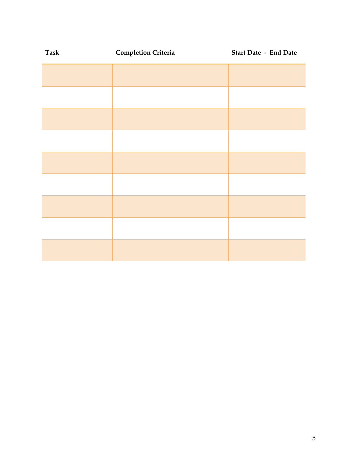| Task | <b>Completion Criteria</b> | <b>Start Date - End Date</b> |
|------|----------------------------|------------------------------|
|      |                            |                              |
|      |                            |                              |
|      |                            |                              |
|      |                            |                              |
|      |                            |                              |
|      |                            |                              |
|      |                            |                              |
|      |                            |                              |
|      |                            |                              |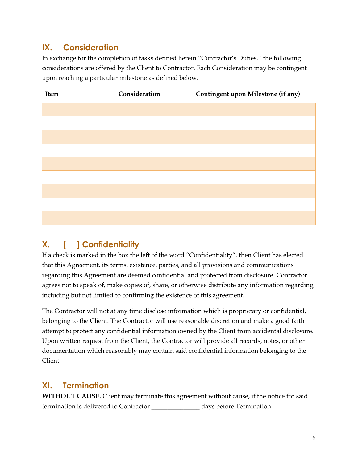# **IX. Consideration**

In exchange for the completion of tasks defined herein "Contractor's Duties," the following considerations are offered by the Client to Contractor. Each Consideration may be contingent upon reaching a particular milestone as defined below.

| Item | Consideration | Contingent upon Milestone (if any) |
|------|---------------|------------------------------------|
|      |               |                                    |
|      |               |                                    |
|      |               |                                    |
|      |               |                                    |
|      |               |                                    |
|      |               |                                    |
|      |               |                                    |
|      |               |                                    |
|      |               |                                    |

# **X. [ ] Confidentiality**

If a check is marked in the box the left of the word "Confidentiality", then Client has elected that this Agreement, its terms, existence, parties, and all provisions and communications regarding this Agreement are deemed confidential and protected from disclosure. Contractor agrees not to speak of, make copies of, share, or otherwise distribute any information regarding, including but not limited to confirming the existence of this agreement.

The Contractor will not at any time disclose information which is proprietary or confidential, belonging to the Client. The Contractor will use reasonable discretion and make a good faith attempt to protect any confidential information owned by the Client from accidental disclosure. Upon written request from the Client, the Contractor will provide all records, notes, or other documentation which reasonably may contain said confidential information belonging to the Client.

# **XI. Termination**

**WITHOUT CAUSE.** Client may terminate this agreement without cause, if the notice for said termination is delivered to Contractor \_\_\_\_\_\_\_\_\_\_\_\_\_\_\_ days before Termination.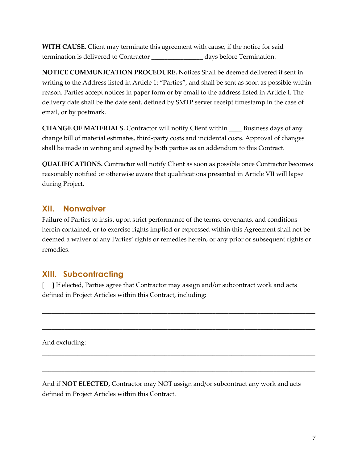**WITH CAUSE**. Client may terminate this agreement with cause, if the notice for said termination is delivered to Contractor \_\_\_\_\_\_\_\_\_\_\_\_\_\_\_\_ days before Termination.

**NOTICE COMMUNICATION PROCEDURE.** Notices Shall be deemed delivered if sent in writing to the Address listed in Article 1: "Parties", and shall be sent as soon as possible within reason. Parties accept notices in paper form or by email to the address listed in Article I. The delivery date shall be the date sent, defined by SMTP server receipt timestamp in the case of email, or by postmark.

**CHANGE OF MATERIALS.** Contractor will notify Client within \_\_\_\_ Business days of any change bill of material estimates, third-party costs and incidental costs. Approval of changes shall be made in writing and signed by both parties as an addendum to this Contract.

**QUALIFICATIONS.** Contractor will notify Client as soon as possible once Contractor becomes reasonably notified or otherwise aware that qualifications presented in Article VII will lapse during Project.

#### **XII. Nonwaiver**

Failure of Parties to insist upon strict performance of the terms, covenants, and conditions herein contained, or to exercise rights implied or expressed within this Agreement shall not be deemed a waiver of any Parties' rights or remedies herein, or any prior or subsequent rights or remedies.

## **XIII. Subcontracting**

[ ] If elected, Parties agree that Contractor may assign and/or subcontract work and acts defined in Project Articles within this Contract, including:

\_\_\_\_\_\_\_\_\_\_\_\_\_\_\_\_\_\_\_\_\_\_\_\_\_\_\_\_\_\_\_\_\_\_\_\_\_\_\_\_\_\_\_\_\_\_\_\_\_\_\_\_\_\_\_\_\_\_\_\_\_\_\_\_\_\_\_\_\_\_\_\_\_\_\_\_\_\_\_\_\_\_\_\_\_

\_\_\_\_\_\_\_\_\_\_\_\_\_\_\_\_\_\_\_\_\_\_\_\_\_\_\_\_\_\_\_\_\_\_\_\_\_\_\_\_\_\_\_\_\_\_\_\_\_\_\_\_\_\_\_\_\_\_\_\_\_\_\_\_\_\_\_\_\_\_\_\_\_\_\_\_\_\_\_\_\_\_\_\_\_

\_\_\_\_\_\_\_\_\_\_\_\_\_\_\_\_\_\_\_\_\_\_\_\_\_\_\_\_\_\_\_\_\_\_\_\_\_\_\_\_\_\_\_\_\_\_\_\_\_\_\_\_\_\_\_\_\_\_\_\_\_\_\_\_\_\_\_\_\_\_\_\_\_\_\_\_\_\_\_\_\_\_\_\_\_

\_\_\_\_\_\_\_\_\_\_\_\_\_\_\_\_\_\_\_\_\_\_\_\_\_\_\_\_\_\_\_\_\_\_\_\_\_\_\_\_\_\_\_\_\_\_\_\_\_\_\_\_\_\_\_\_\_\_\_\_\_\_\_\_\_\_\_\_\_\_\_\_\_\_\_\_\_\_\_\_\_\_\_\_\_

And excluding:

And if **NOT ELECTED,** Contractor may NOT assign and/or subcontract any work and acts defined in Project Articles within this Contract.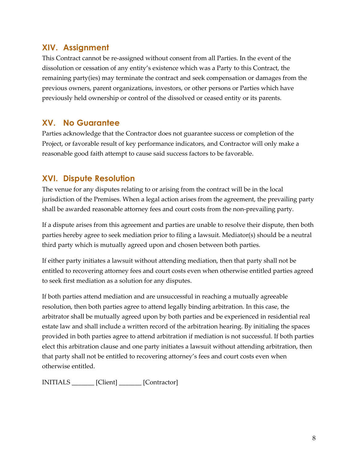## **XIV. Assignment**

This Contract cannot be re-assigned without consent from all Parties. In the event of the dissolution or cessation of any entity's existence which was a Party to this Contract, the remaining party(ies) may terminate the contract and seek compensation or damages from the previous owners, parent organizations, investors, or other persons or Parties which have previously held ownership or control of the dissolved or ceased entity or its parents.

## **XV. No Guarantee**

Parties acknowledge that the Contractor does not guarantee success or completion of the Project, or favorable result of key performance indicators, and Contractor will only make a reasonable good faith attempt to cause said success factors to be favorable.

## **XVI. Dispute Resolution**

The venue for any disputes relating to or arising from the contract will be in the local jurisdiction of the Premises. When a legal action arises from the agreement, the prevailing party shall be awarded reasonable attorney fees and court costs from the non-prevailing party.

If a dispute arises from this agreement and parties are unable to resolve their dispute, then both parties hereby agree to seek mediation prior to filing a lawsuit. Mediator(s) should be a neutral third party which is mutually agreed upon and chosen between both parties.

If either party initiates a lawsuit without attending mediation, then that party shall not be entitled to recovering attorney fees and court costs even when otherwise entitled parties agreed to seek first mediation as a solution for any disputes.

If both parties attend mediation and are unsuccessful in reaching a mutually agreeable resolution, then both parties agree to attend legally binding arbitration. In this case, the arbitrator shall be mutually agreed upon by both parties and be experienced in residential real estate law and shall include a written record of the arbitration hearing. By initialing the spaces provided in both parties agree to attend arbitration if mediation is not successful. If both parties elect this arbitration clause and one party initiates a lawsuit without attending arbitration, then that party shall not be entitled to recovering attorney's fees and court costs even when otherwise entitled.

INITIALS [Client] [Contractor]